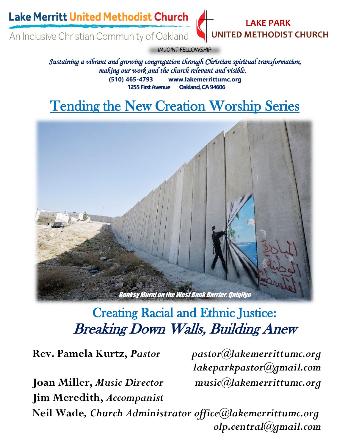**Lake Merritt United Methodist Church** 

An Inclusive Christian Community of Oakland



*IN JOINT FELLOWSHIP* 

*Sustaining a vibrant and growing congregation through Christian spiritual transformation, making our work and the church relevant and visible.*  **(510) 465-4793 www.lakemerrittumc.org 1255 First Avenue Oakland, CA 94606**

### $\overline{\phantom{a}}$ Tending the New Creation Worship Series



# Creating Racial and Ethnic Justice: Breaking Down Walls, Building Anew

**Joan Miller,** *Music Director music@lakemerrittumc.org* **Jim Meredith,** *Accompanist*

**Rev. Pamela Kurtz,** *Pastor pastor@lakemerrittumc.org lakeparkpastor@gmail.com*

**Neil Wade***, Church Administrator office@lakemerrittumc.org olp.central@gmail.com*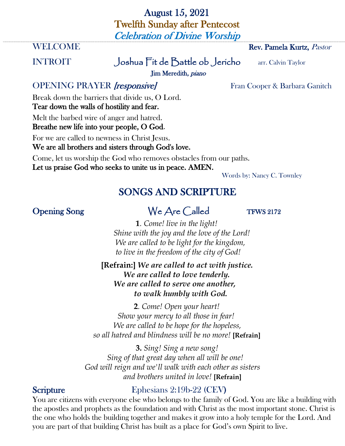# August 15, 2021 Twelfth Sunday after Pentecost Celebration of Divine Worship

#### **WELCOME** Rev. Pamela Kurtz, *Pastor*

# INTROIT Joshua Fit de Battle ob Jericho arr. Calvin Taylor

Jim Meredith, piano

# OPENING PRAYER *[responsive]* Fran Cooper & Barbara Ganitch

Break down the barriers that divide us, O Lord. Tear down the walls of hostility and fear.

Melt the barbed wire of anger and hatred.

Breathe new life into your people, O God.

For we are called to newness in Christ Jesus. We are all brothers and sisters through God's love.

Come, let us worship the God who removes obstacles from our paths. Let us praise God who seeks to unite us in peace. AMEN.

Words by: Nancy C. Townley

# SONGS AND SCRIPTURE

# Opening Song We Are Called TFWS 2172

**1***. Come! live in the light! Shine with the joy and the love of the Lord! We are called to be light for the kingdom, to live in the freedom of the city of God!*

 **[Refrain:]** *We are called to act with justice. We are called to love tenderly. We are called to serve one another, to walk humbly with God.*

**2***. Come! Open your heart! Show your mercy to all those in fear! We are called to be hope for the hopeless, so all hatred and blindness will be no more!* **[Refrain]**

**3.** *Sing! Sing a new song! Sing of that great day when all will be one! God will reign and we'll walk with each other as sisters and brothers united in love!* **[Refrain]**

# Scripture Ephesians 2:19b-22 (CEV)

You are citizens with everyone else who belongs to the family of God. You are like a building with the apostles and prophets as the foundation and with Christ as the most important stone. Christ is the one who holds the building together and makes it grow into a holy temple for the Lord. And you are part of that building Christ has built as a place for God's own Spirit to live.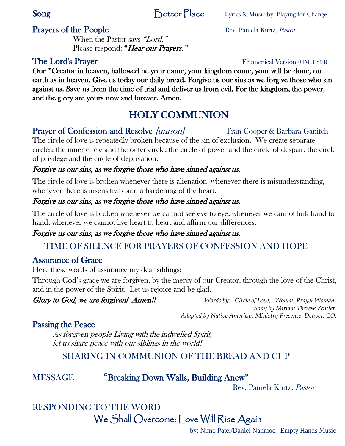# **Prayers of the People** Rev. Pamela Kurtz, *Pastor*

When the Pastor says "Lord," Please respond: "Hear our Prayers."

Our \*Creator in heaven, hallowed be your name, your kingdom come, your will be done, on earth as in heaven. Give us today our daily bread. Forgive us our sins as we forgive those who sin against us. Save us from the time of trial and deliver us from evil. For the kingdom, the power, and the glory are yours now and forever. Amen.

# HOLY COMMUNION

# **Prayer of Confession and Resolve [unison]** Fran Cooper & Barbara Ganitch

The circle of love is repeatedly broken because of the sin of exclusion. We create separate circles: the inner circle and the outer circle, the circle of power and the circle of despair, the circle of privilege and the circle of deprivation.

### Forgive us our sins, as we forgive those who have sinned against us.

The circle of love is broken whenever there is alienation, whenever there is misunderstanding, whenever there is insensitivity and a hardening of the heart.

# Forgive us our sins, as we forgive those who have sinned against us.

The circle of love is broken whenever we cannot see eye to eye, whenever we cannot link hand to hand, whenever we cannot live heart to heart and affirm our differences.

# Forgive us our sins, as we forgive those who have sinned against us.

# TIME OF SILENCE FOR PRAYERS OF CONFESSION AND HOPE

# Assurance of Grace

Here these words of assurance my dear siblings:

Through God's grace we are forgiven, by the mercy of our Creator, through the love of the Christ, and in the power of the Spirit. Let us rejoice and be glad.

Glory to God, we are forgiven! Amen!! *Words by: "Circle of Love," Woman Prayer Woman Song by Miriam Therese Winter, Adapted by Native American Ministry Presence, Denver, CO.*

# Passing the Peace

As forgiven people Living with the indwelled Spirit, let us share peace with our siblings in the world!

# SHARING IN COMMUNION OF THE BREAD AND CUP

# MESSAGE "Breaking Down Walls, Building Anew"

Rev. Pamela Kurtz, Pastor

# RESPONDING TO THE WORD

We Shall Overcome: Love Will Rise Again

by: Nimo Patel/Daniel Nahmod | Empty Hands Music

### The Lord's Prayer Ecumenical Version (UMH 894)